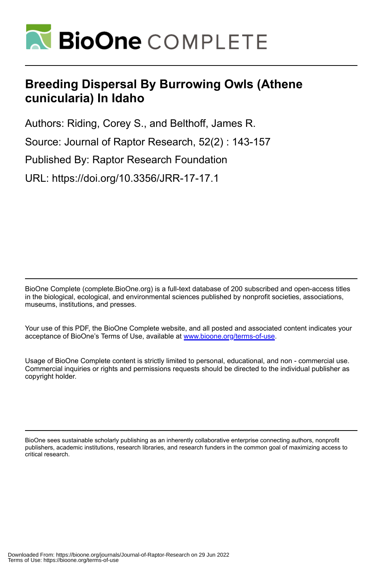

# **Breeding Dispersal By Burrowing Owls (Athene cunicularia) In Idaho**

Authors: Riding, Corey S., and Belthoff, James R.

Source: Journal of Raptor Research, 52(2) : 143-157

Published By: Raptor Research Foundation

URL: https://doi.org/10.3356/JRR-17-17.1

BioOne Complete (complete.BioOne.org) is a full-text database of 200 subscribed and open-access titles in the biological, ecological, and environmental sciences published by nonprofit societies, associations, museums, institutions, and presses.

Your use of this PDF, the BioOne Complete website, and all posted and associated content indicates your acceptance of BioOne's Terms of Use, available at www.bioone.org/terms-of-use.

Usage of BioOne Complete content is strictly limited to personal, educational, and non - commercial use. Commercial inquiries or rights and permissions requests should be directed to the individual publisher as copyright holder.

BioOne sees sustainable scholarly publishing as an inherently collaborative enterprise connecting authors, nonprofit publishers, academic institutions, research libraries, and research funders in the common goal of maximizing access to critical research.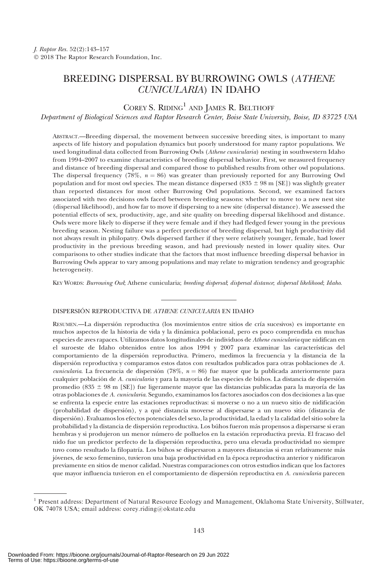## BREEDING DISPERSAL BY BURROWING OWLS (ATHENE CUNICULARIA) IN IDAHO

### $\text{COREY S.}$  RIDING<sup>1</sup> AND JAMES R. BELTHOFF

Department of Biological Sciences and Raptor Research Center, Boise State University, Boise, ID 83725 USA

ABSTRACT.—Breeding dispersal, the movement between successive breeding sites, is important to many aspects of life history and population dynamics but poorly understood for many raptor populations. We used longitudinal data collected from Burrowing Owls (Athene cunicularia) nesting in southwestern Idaho from 1994–2007 to examine characteristics of breeding dispersal behavior. First, we measured frequency and distance of breeding dispersal and compared those to published results from other owl populations. The dispersal frequency (78%,  $n = 86$ ) was greater than previously reported for any Burrowing Owl population and for most owl species. The mean distance dispersed (835  $\pm$  98 m [SE]) was slightly greater than reported distances for most other Burrowing Owl populations. Second, we examined factors associated with two decisions owls faced between breeding seasons: whether to move to a new nest site (dispersal likelihood), and how far to move if dispersing to a new site (dispersal distance). We assessed the potential effects of sex, productivity, age, and site quality on breeding dispersal likelihood and distance. Owls were more likely to disperse if they were female and if they had fledged fewer young in the previous breeding season. Nesting failure was a perfect predictor of breeding dispersal, but high productivity did not always result in philopatry. Owls dispersed farther if they were relatively younger, female, had lower productivity in the previous breeding season, and had previously nested in lower quality sites. Our comparisons to other studies indicate that the factors that most influence breeding dispersal behavior in Burrowing Owls appear to vary among populations and may relate to migration tendency and geographic heterogeneity.

KEY WORDS: Burrowing Owl; Athene cunicularia; breeding dispersal; dispersal distance; dispersal likelihood; Idaho.

### DISPERSIÓN REPRODUCTIVA DE ATHENE CUNICULARIA EN IDAHO

RESUMEN.—La dispersión reproductiva (los movimientos entre sitios de cría sucesivos) es importante en muchos aspectos de la historia de vida y la dinámica poblacional, pero es poco comprendida en muchas especies de aves rapaces. Utilizamos datos longitudinales de individuos de Athene cunicularia que nidifican en el suroeste de Idaho obtenidos entre los años 1994 y 2007 para examinar las características del comportamiento de la dispersio´n reproductiva. Primero, medimos la frecuencia y la distancia de la dispersión reproductiva y comparamos estos datos con resultados publicados para otras poblaciones de A. cunicularia. La frecuencia de dispersión (78%,  $n = 86$ ) fue mayor que la publicada anteriormente para cualquier población de A. cunicularia y para la mayoría de las especies de búhos. La distancia de dispersión promedio (835 ± 98 m [SE]) fue ligeramente mayor que las distancias publicadas para la mayoría de las otras poblaciones de A. cunicularia. Segundo, examinamos los factores asociados con dos decisiones a las que se enfrenta la especie entre las estaciones reproductivas: si moverse o no a un nuevo sitio de nidificación (probabilidad de dispersio´n), y a que´ distancia moverse al dispersarse a un nuevo sitio (distancia de dispersio´n). Evaluamos los efectos potenciales del sexo, la productividad, la edad y la calidad del sitio sobre la probabilidad y la distancia de dispersión reproductiva. Los búhos fueron más propensos a dispersarse si eran hembras y si produjeron un menor número de polluelos en la estación reproductiva previa. El fracaso del nido fue un predictor perfecto de la dispersión reproductiva, pero una elevada productividad no siempre tuvo como resultado la filopatría. Los búhos se dispersaron a mayores distancias si eran relativamente más jóvenes, de sexo femenino, tuvieron una baja productividad en la época reproductiva anterior y nidificaron previamente en sitios de menor calidad. Nuestras comparaciones con otros estudios indican que los factores que mayor influencia tuvieron en el comportamiento de dispersión reproductiva en A. cunicularia parecen

<sup>1</sup> Present address: Department of Natural Resource Ecology and Management, Oklahoma State University, Stillwater, OK 74078 USA; email address: corey.riding@okstate.edu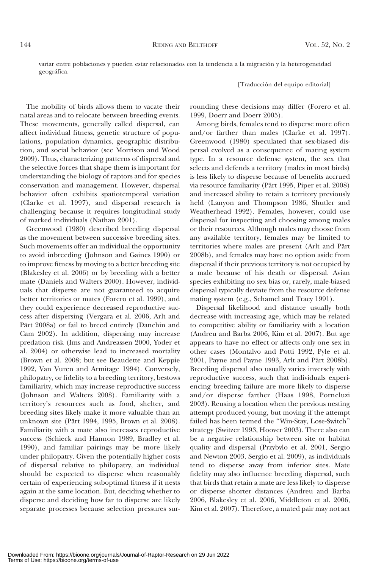variar entre poblaciones y pueden estar relacionados con la tendencia a la migración y la heterogeneidad geográfica.

[Traducción del equipo editorial]

The mobility of birds allows them to vacate their natal areas and to relocate between breeding events. These movements, generally called dispersal, can affect individual fitness, genetic structure of populations, population dynamics, geographic distribution, and social behavior (see Morrison and Wood 2009). Thus, characterizing patterns of dispersal and the selective forces that shape them is important for understanding the biology of raptors and for species conservation and management. However, dispersal behavior often exhibits spatiotemporal variation (Clarke et al. 1997), and dispersal research is challenging because it requires longitudinal study of marked individuals (Nathan 2001).

Greenwood (1980) described breeding dispersal as the movement between successive breeding sites. Such movements offer an individual the opportunity to avoid inbreeding (Johnson and Gaines 1990) or to improve fitness by moving to a better breeding site (Blakesley et al. 2006) or by breeding with a better mate (Daniels and Walters 2000). However, individuals that disperse are not guaranteed to acquire better territories or mates (Forero et al. 1999), and they could experience decreased reproductive success after dispersing (Vergara et al. 2006, Arlt and Pärt 2008a) or fail to breed entirely (Danchin and Cam 2002). In addition, dispersing may increase predation risk (Ims and Andreassen 2000, Yoder et al. 2004) or otherwise lead to increased mortality (Brown et al. 2008; but see Beaudette and Keppie 1992, Van Vuren and Armitage 1994). Conversely, philopatry, or fidelity to a breeding territory, bestows familiarity, which may increase reproductive success (Johnson and Walters 2008). Familiarity with a territory's resources such as food, shelter, and breeding sites likely make it more valuable than an unknown site (Part 1994, 1995, Brown et al. 2008). ¨ Familiarity with a mate also increases reproductive success (Schieck and Hannon 1989, Bradley et al. 1990), and familiar pairings may be more likely under philopatry. Given the potentially higher costs of dispersal relative to philopatry, an individual should be expected to disperse when reasonably certain of experiencing suboptimal fitness if it nests again at the same location. But, deciding whether to disperse and deciding how far to disperse are likely separate processes because selection pressures surrounding these decisions may differ (Forero et al. 1999, Doerr and Doerr 2005).

Among birds, females tend to disperse more often and/or farther than males (Clarke et al. 1997). Greenwood (1980) speculated that sex-biased dispersal evolved as a consequence of mating system type. In a resource defense system, the sex that selects and defends a territory (males in most birds) is less likely to disperse because of benefits accrued via resource familiarity (Pärt 1995, Piper et al. 2008) and increased ability to retain a territory previously held (Lanyon and Thompson 1986, Shutler and Weatherhead 1992). Females, however, could use dispersal for inspecting and choosing among males or their resources. Although males may choose from any available territory, females may be limited to territories where males are present (Arlt and Pärt 2008b), and females may have no option aside from dispersal if their previous territory is not occupied by a male because of his death or dispersal. Avian species exhibiting no sex bias or, rarely, male-biased dispersal typically deviate from the resource defense mating system (e.g., Schamel and Tracy 1991).

Dispersal likelihood and distance usually both decrease with increasing age, which may be related to competitive ability or familiarity with a location (Andreu and Barba 2006, Kim et al. 2007). But age appears to have no effect or affects only one sex in other cases (Montalvo and Potti 1992, Pyle et al. 2001, Payne and Payne 1993, Arlt and Pärt 2008b). Breeding dispersal also usually varies inversely with reproductive success, such that individuals experiencing breeding failure are more likely to disperse and/or disperse farther (Haas 1998, Porneluzi 2003). Reusing a location when the previous nesting attempt produced young, but moving if the attempt failed has been termed the ''Win-Stay, Lose-Switch'' strategy (Switzer 1993, Hoover 2003). There also can be a negative relationship between site or habitat quality and dispersal (Przybylo et al. 2001, Sergio and Newton 2003, Sergio et al. 2009), as individuals tend to disperse away from inferior sites. Mate fidelity may also influence breeding dispersal, such that birds that retain a mate are less likely to disperse or disperse shorter distances (Andreu and Barba 2006, Blakesley et al. 2006, Middleton et al. 2006, Kim et al. 2007). Therefore, a mated pair may not act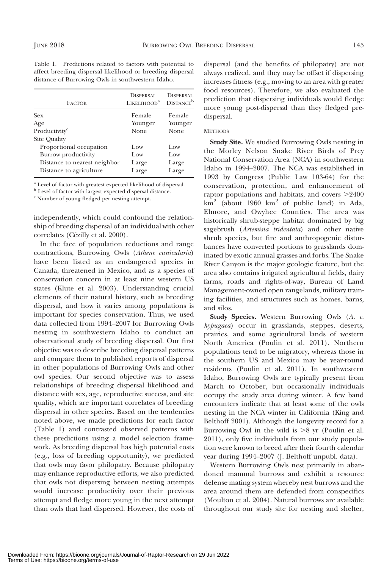|                                                   | Table 1. Predictions related to factors with potential to  |
|---------------------------------------------------|------------------------------------------------------------|
|                                                   | affect breeding dispersal likelihood or breeding dispersal |
| distance of Burrowing Owls in southwestern Idaho. |                                                            |

| <b>FACTOR</b>                | DISPERSAL.<br>LIKELIHOOD <sup>a</sup> | DISPERSAL<br><b>DISTANCE</b> <sup>b</sup> |
|------------------------------|---------------------------------------|-------------------------------------------|
| Sex                          | Female                                | Female                                    |
| Age                          | Younger                               | Younger                                   |
| Productivity <sup>c</sup>    | None                                  | None                                      |
| Site Quality                 |                                       |                                           |
| Proportional occupation      | Low                                   | Low                                       |
| Burrow productivity          | Low                                   | Low                                       |
| Distance to nearest neighbor | Large                                 | Large                                     |
| Distance to agriculture      | Large                                 | Large                                     |

<sup>a</sup> Level of factor with greatest expected likelihood of dispersal.

<sup>b</sup> Level of factor with largest expected dispersal distance.

<sup>c</sup> Number of young fledged per nesting attempt.

independently, which could confound the relationship of breeding dispersal of an individual with other correlates (Cézilly et al. 2000).

In the face of population reductions and range contractions, Burrowing Owls (Athene cunicularia) have been listed as an endangered species in Canada, threatened in Mexico, and as a species of conservation concern in at least nine western US states (Klute et al. 2003). Understanding crucial elements of their natural history, such as breeding dispersal, and how it varies among populations is important for species conservation. Thus, we used data collected from 1994–2007 for Burrowing Owls nesting in southwestern Idaho to conduct an observational study of breeding dispersal. Our first objective was to describe breeding dispersal patterns and compare them to published reports of dispersal in other populations of Burrowing Owls and other owl species. Our second objective was to assess relationships of breeding dispersal likelihood and distance with sex, age, reproductive success, and site quality, which are important correlates of breeding dispersal in other species. Based on the tendencies noted above, we made predictions for each factor (Table 1) and contrasted observed patterns with these predictions using a model selection framework. As breeding dispersal has high potential costs (e.g., loss of breeding opportunity), we predicted that owls may favor philopatry. Because philopatry may enhance reproductive efforts, we also predicted that owls not dispersing between nesting attempts would increase productivity over their previous attempt and fledge more young in the next attempt than owls that had dispersed. However, the costs of dispersal (and the benefits of philopatry) are not always realized, and they may be offset if dispersing increases fitness (e.g., moving to an area with greater food resources). Therefore, we also evaluated the prediction that dispersing individuals would fledge more young post-dispersal than they fledged predispersal.

#### **METHODS**

Study Site. We studied Burrowing Owls nesting in the Morley Nelson Snake River Birds of Prey National Conservation Area (NCA) in southwestern Idaho in 1994–2007. The NCA was established in 1993 by Congress (Public Law 103-64) for the conservation, protection, and enhancement of raptor populations and habitats, and covers  $>2400$  $km<sup>2</sup>$  (about 1960 km<sup>2</sup> of public land) in Ada, Elmore, and Owyhee Counties. The area was historically shrub-steppe habitat dominated by big sagebrush (Artemisia tridentata) and other native shrub species, but fire and anthropogenic disturbances have converted portions to grasslands dominated by exotic annual grasses and forbs. The Snake River Canyon is the major geologic feature, but the area also contains irrigated agricultural fields, dairy farms, roads and rights-of-way, Bureau of Land Management-owned open rangelands, military training facilities, and structures such as homes, barns, and silos.

Study Species. Western Burrowing Owls (A. c. hypugaea) occur in grasslands, steppes, deserts, prairies, and some agricultural lands of western North America (Poulin et al. 2011). Northern populations tend to be migratory, whereas those in the southern US and Mexico may be year-round residents (Poulin et al. 2011). In southwestern Idaho, Burrowing Owls are typically present from March to October, but occasionally individuals occupy the study area during winter. A few band encounters indicate that at least some of the owls nesting in the NCA winter in California (King and Belthoff 2001). Although the longevity record for a Burrowing Owl in the wild is  $>8$  yr (Poulin et al. 2011), only five individuals from our study population were known to breed after their fourth calendar year during 1994–2007 (J. Belthoff unpubl. data).

Western Burrowing Owls nest primarily in abandoned mammal burrows and exhibit a resource defense mating system whereby nest burrows and the area around them are defended from conspecifics (Moulton et al. 2004). Natural burrows are available throughout our study site for nesting and shelter,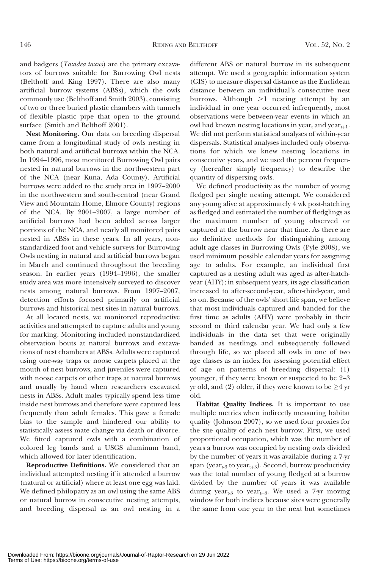and badgers (Taxidea taxus) are the primary excavators of burrows suitable for Burrowing Owl nests (Belthoff and King 1997). There are also many artificial burrow systems (ABSs), which the owls commonly use (Belthoff and Smith 2003), consisting of two or three buried plastic chambers with tunnels of flexible plastic pipe that open to the ground surface (Smith and Belthoff 2001).

Nest Monitoring. Our data on breeding dispersal came from a longitudinal study of owls nesting in both natural and artificial burrows within the NCA. In 1994–1996, most monitored Burrowing Owl pairs nested in natural burrows in the northwestern part of the NCA (near Kuna, Ada County). Artificial burrows were added to the study area in 1997–2000 in the northwestern and south-central (near Grand View and Mountain Home, Elmore County) regions of the NCA. By 2001–2007, a large number of artificial burrows had been added across larger portions of the NCA, and nearly all monitored pairs nested in ABSs in these years. In all years, nonstandardized foot and vehicle surveys for Burrowing Owls nesting in natural and artificial burrows began in March and continued throughout the breeding season. In earlier years (1994–1996), the smaller study area was more intensively surveyed to discover nests among natural burrows. From 1997–2007, detection efforts focused primarily on artificial burrows and historical nest sites in natural burrows.

At all located nests, we monitored reproductive activities and attempted to capture adults and young for marking. Monitoring included nonstandardized observation bouts at natural burrows and excavations of nest chambers at ABSs. Adults were captured using one-way traps or noose carpets placed at the mouth of nest burrows, and juveniles were captured with noose carpets or other traps at natural burrows and usually by hand when researchers excavated nests in ABSs. Adult males typically spend less time inside nest burrows and therefore were captured less frequently than adult females. This gave a female bias to the sample and hindered our ability to statistically assess mate change via death or divorce. We fitted captured owls with a combination of colored leg bands and a USGS aluminum band, which allowed for later identification.

Reproductive Definitions. We considered that an individual attempted nesting if it attended a burrow (natural or artificial) where at least one egg was laid. We defined philopatry as an owl using the same ABS or natural burrow in consecutive nesting attempts, and breeding dispersal as an owl nesting in a different ABS or natural burrow in its subsequent attempt. We used a geographic information system (GIS) to measure dispersal distance as the Euclidean distance between an individual's consecutive nest burrows. Although  $>1$  nesting attempt by an individual in one year occurred infrequently, most observations were between-year events in which an owl had known nesting locations in year<sub>t</sub> and year<sub>th1</sub>. We did not perform statistical analyses of within-year dispersals. Statistical analyses included only observations for which we knew nesting locations in consecutive years, and we used the percent frequency (hereafter simply frequency) to describe the quantity of dispersing owls.

We defined productivity as the number of young fledged per single nesting attempt. We considered any young alive at approximately 4 wk post-hatching as fledged and estimated the number of fledglings as the maximum number of young observed or captured at the burrow near that time. As there are no definitive methods for distinguishing among adult age classes in Burrowing Owls (Pyle 2008), we used minimum possible calendar years for assigning age to adults. For example, an individual first captured as a nesting adult was aged as after-hatchyear (AHY); in subsequent years, its age classification increased to after-second-year, after-third-year, and so on. Because of the owls' short life span, we believe that most individuals captured and banded for the first time as adults (AHY) were probably in their second or third calendar year. We had only a few individuals in the data set that were originally banded as nestlings and subsequently followed through life, so we placed all owls in one of two age classes as an index for assessing potential effect of age on patterns of breeding dispersal: (1) younger, if they were known or suspected to be 2–3 yr old, and (2) older, if they were known to be  $\geq\!\!4$  yr old.

Habitat Quality Indices. It is important to use multiple metrics when indirectly measuring habitat quality (Johnson 2007), so we used four proxies for the site quality of each nest burrow. First, we used proportional occupation, which was the number of years a burrow was occupied by nesting owls divided by the number of years it was available during a 7-yr span (year<sub>t-3</sub> to year<sub>t+3</sub>). Second, burrow productivity was the total number of young fledged at a burrow divided by the number of years it was available during year<sub>t-3</sub> to year<sub>t+3</sub>. We used a 7-yr moving window for both indices because sites were generally the same from one year to the next but sometimes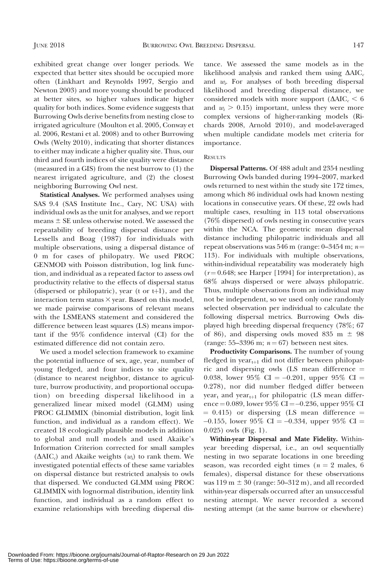exhibited great change over longer periods. We expected that better sites should be occupied more often (Linkhart and Reynolds 1997, Sergio and Newton 2003) and more young should be produced at better sites, so higher values indicate higher quality for both indices. Some evidence suggests that Burrowing Owls derive benefits from nesting close to irrigated agriculture (Moulton et al. 2005, Conway et al. 2006, Restani et al. 2008) and to other Burrowing Owls (Welty 2010), indicating that shorter distances to either may indicate a higher quality site. Thus, our third and fourth indices of site quality were distance (measured in a GIS) from the nest burrow to (1) the nearest irrigated agriculture, and (2) the closest neighboring Burrowing Owl nest.

Statistical Analyses. We performed analyses using SAS 9.4 (SAS Institute Inc., Cary, NC USA) with individual owls as the unit for analyses, and we report means  $\pm$  SE unless otherwise noted. We assessed the repeatability of breeding dispersal distance per Lessells and Boag (1987) for individuals with multiple observations, using a dispersal distance of 0 m for cases of philopatry. We used PROC GENMOD with Poisson distribution, log link function, and individual as a repeated factor to assess owl productivity relative to the effects of dispersal status (dispersed or philopatric), year (t or  $t+1$ ), and the interaction term status  $\times$  year. Based on this model, we made pairwise comparisons of relevant means with the LSMEANS statement and considered the difference between least squares (LS) means important if the 95% confidence interval (CI) for the estimated difference did not contain zero.

We used a model selection framework to examine the potential influence of sex, age, year, number of young fledged, and four indices to site quality (distance to nearest neighbor, distance to agriculture, burrow productivity, and proportional occupation) on breeding dispersal likelihood in a generalized linear mixed model (GLMM) using PROC GLIMMIX (binomial distribution, logit link function, and individual as a random effect). We created 18 ecologically plausible models in addition to global and null models and used Akaike's Information Criterion corrected for small samples  $(\Delta AIC_c)$  and Akaike weights  $(w_i)$  to rank them. We investigated potential effects of these same variables on dispersal distance but restricted analysis to owls that dispersed. We conducted GLMM using PROC GLIMMIX with lognormal distribution, identity link function, and individual as a random effect to examine relationships with breeding dispersal dis-

tance. We assessed the same models as in the likelihood analysis and ranked them using  $\Delta AIC_c$ and  $w_i$ . For analyses of both breeding dispersal likelihood and breeding dispersal distance, we considered models with more support  $(\Delta AIC_{c} < 6$ and  $w_i > 0.15$ ) important, unless they were more complex versions of higher-ranking models (Richards 2008, Arnold 2010), and model-averaged when multiple candidate models met criteria for importance.

#### **RESULTS**

Dispersal Patterns. Of 488 adult and 2354 nestling Burrowing Owls banded during 1994–2007, marked owls returned to nest within the study site 172 times, among which 86 individual owls had known nesting locations in consecutive years. Of these, 22 owls had multiple cases, resulting in 113 total observations (76% dispersed) of owls nesting in consecutive years within the NCA. The geometric mean dispersal distance including philopatric individuals and all repeat observations was 546 m (range:  $0-3454$  m;  $n=$ 113). For individuals with multiple observations, within-individual repeatability was moderately high  $(r = 0.648;$  see Harper [1994] for interpretation), as 68% always dispersed or were always philopatric. Thus, multiple observations from an individual may not be independent, so we used only one randomly selected observation per individual to calculate the following dispersal metrics. Burrowing Owls displayed high breeding dispersal frequency (78%; 67 of 86), and dispersing owls moved 835 m  $\pm$  98 (range: 55–3396 m;  $n = 67$ ) between nest sites.

Productivity Comparisons. The number of young fledged in year $_{t+1}$  did not differ between philopatric and dispersing owls (LS mean difference  $=$ 0.038, lower 95% CI =  $-0.201$ , upper 95% CI = 0.278), nor did number fledged differ between year<sub>t</sub> and year<sub>t+1</sub> for philopatric (LS mean difference = 0.089, lower 95% CI = -0.236, upper 95% CI  $= 0.415$ ) or dispersing (LS mean difference  $=$  $-0.155$ , lower 95% CI =  $-0.334$ , upper 95% CI = 0.025) owls (Fig. 1).

Within-year Dispersal and Mate Fidelity. Withinyear breeding dispersal, i.e., an owl sequentially nesting in two separate locations in one breeding season, was recorded eight times ( $n = 2$  males, 6 females), dispersal distance for these observations was  $119 \text{ m } \pm 30$  (range: 50–312 m), and all recorded within-year dispersals occurred after an unsuccessful nesting attempt. We never recorded a second nesting attempt (at the same burrow or elsewhere)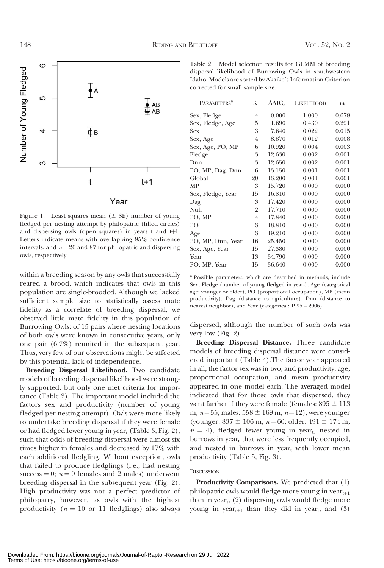

Figure 1. Least squares mean  $(\pm \text{ SE})$  number of young fledged per nesting attempt by philopatric (filled circles) and dispersing owls (open squares) in years  $t$  and  $t+1$ . Letters indicate means with overlapping 95% confidence intervals, and  $n = 26$  and 87 for philopatric and dispersing owls, respectively.

within a breeding season by any owls that successfully reared a brood, which indicates that owls in this population are single-brooded. Although we lacked sufficient sample size to statistically assess mate fidelity as a correlate of breeding dispersal, we observed little mate fidelity in this population of Burrowing Owls: of 15 pairs where nesting locations of both owls were known in consecutive years, only one pair (6.7%) reunited in the subsequent year. Thus, very few of our observations might be affected by this potential lack of independence.

Breeding Dispersal Likelihood. Two candidate models of breeding dispersal likelihood were strongly supported, but only one met criteria for importance (Table 2). The important model included the factors sex and productivity (number of young fledged per nesting attempt). Owls were more likely to undertake breeding dispersal if they were female or had fledged fewer young in year<sub>t</sub> (Table 3, Fig. 2), such that odds of breeding dispersal were almost six times higher in females and decreased by 17% with each additional fledgling. Without exception, owls that failed to produce fledglings (i.e., had nesting success  $= 0$ ;  $n = 9$  females and 2 males) underwent breeding dispersal in the subsequent year (Fig. 2). High productivity was not a perfect predictor of philopatry, however, as owls with the highest productivity ( $n = 10$  or 11 fledglings) also always

Table 2. Model selection results for GLMM of breeding dispersal likelihood of Burrowing Owls in southwestern Idaho. Models are sorted by Akaike's Information Criterion corrected for small sample size.

| <b>PARAMETERS</b> <sup>a</sup> | K              | $\Delta AIC_c$ | <b>LIKELIHOOD</b> | $\omega_i$ |
|--------------------------------|----------------|----------------|-------------------|------------|
| Sex, Fledge                    | 4              | 0.000          | 1.000             | 0.678      |
| Sex, Fledge, Age               | 5              | 1.690          | 0.430             | 0.291      |
| Sex                            | 3              | 7.640          | 0.022             | 0.015      |
| Sex, Age                       | 4              | 8.870          | 0.012             | 0.008      |
| Sex, Age, PO, MP               | 6              | 10.920         | 0.004             | 0.003      |
| Fledge                         | 3              | 12.630         | 0.002             | 0.001      |
| Dnn                            | 3              | 12.650         | 0.002             | 0.001      |
| PO, MP, Dag, Dnn               | 6              | 13.150         | 0.001             | 0.001      |
| Global                         | 20             | 13.200         | 0.001             | 0.001      |
| МP                             | 3              | 15.720         | 0.000             | 0.000      |
| Sex, Fledge, Year              | 15             | 16.810         | 0.000             | 0.000      |
| Dag                            | 3              | 17.420         | 0.000             | 0.000      |
| Null                           | 2              | 17.710         | 0.000             | 0.000      |
| PO, MP                         | $\overline{4}$ | 17.840         | 0.000             | 0.000      |
| PО                             | 3              | 18.810         | 0.000             | 0.000      |
| Age                            | 3              | 19.210         | 0.000             | 0.000      |
| PO, MP, Dnn, Year              | 16             | 25.450         | 0.000             | 0.000      |
| Sex, Age, Year                 | 15             | 27.380         | 0.000             | 0.000      |
| Year                           | 13             | 34.790         | 0.000             | 0.000      |
| PO, MP, Year                   | 15             | 36.640         | 0.000             | 0.000      |
|                                |                |                |                   |            |

<sup>a</sup> Possible parameters, which are described in methods, include Sex, Fledge (number of young fledged in  $year<sub>t</sub>$ ), Age (categorical age: younger or older), PO (proportional occupation), MP (mean productivity), Dag (distance to agriculture), Dnn (distance to nearest neighbor), and Year (categorical: 1995 – 2006).

dispersed, although the number of such owls was very low (Fig. 2).

Breeding Dispersal Distance. Three candidate models of breeding dispersal distance were considered important (Table 4).The factor year appeared in all, the factor sex was in two, and productivity, age, proportional occupation, and mean productivity appeared in one model each. The averaged model indicated that for those owls that dispersed, they went farther if they were female (females:  $895 \pm 113$ ) m,  $n=55$ ; males:  $558 \pm 169$  m,  $n=12$ ), were younger (younger:  $837 \pm 106$  m,  $n = 60$ ; older:  $491 \pm 174$  m,  $n = 4$ ), fledged fewer young in year<sub>t</sub>, nested in burrows in  $year<sub>t</sub>$  that were less frequently occupied, and nested in burrows in year<sub>t</sub> with lower mean productivity (Table 5, Fig. 3).

#### **DISCUSSION**

Productivity Comparisons. We predicted that (1) philopatric owls would fledge more young in  $year_{t+1}$ than in year $_{t}$ , (2) dispersing owls would fledge more young in year $_{t+1}$  than they did in year<sub>t</sub>, and (3)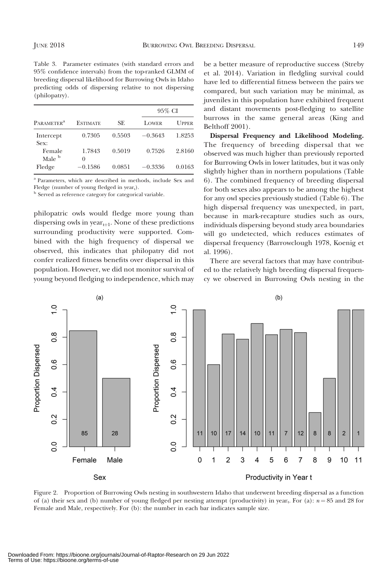Table 3. Parameter estimates (with standard errors and 95% confidence intervals) from the top-ranked GLMM of breeding dispersal likelihood for Burrowing Owls in Idaho predicting odds of dispersing relative to not dispersing (philopatry).

|                              |                 |        | 95% CI    |              |  |  |
|------------------------------|-----------------|--------|-----------|--------------|--|--|
| <b>PARAMETER<sup>a</sup></b> | <b>ESTIMATE</b> | SE.    | LOWER     | <b>UPPER</b> |  |  |
| Intercept<br>Sex:            | 0.7305          | 0.5503 | $-0.3643$ | 1.8253       |  |  |
| Female<br>Male <sup>b</sup>  | 1.7843<br>0     | 0.5019 | 0.7526    | 2.8160       |  |  |
| Fledge                       | $-0.1586$       | 0.0851 | $-0.3336$ | 0.0163       |  |  |

<sup>a</sup> Parameters, which are described in methods, include Sex and Fledge (number of young fledged in  $year<sub>t</sub>$ ).<br><sup>b</sup> Served as reference category for categorical variable.

philopatric owls would fledge more young than dispersing owls in year $_{t+1}$ . None of these predictions surrounding productivity were supported. Combined with the high frequency of dispersal we observed, this indicates that philopatry did not confer realized fitness benefits over dispersal in this population. However, we did not monitor survival of young beyond fledging to independence, which may be a better measure of reproductive success (Streby et al. 2014). Variation in fledgling survival could have led to differential fitness between the pairs we compared, but such variation may be minimal, as juveniles in this population have exhibited frequent and distant movements post-fledging to satellite burrows in the same general areas (King and Belthoff 2001).

Dispersal Frequency and Likelihood Modeling. The frequency of breeding dispersal that we observed was much higher than previously reported for Burrowing Owls in lower latitudes, but it was only slightly higher than in northern populations (Table 6). The combined frequency of breeding dispersal for both sexes also appears to be among the highest for any owl species previously studied (Table 6). The high dispersal frequency was unexpected, in part, because in mark-recapture studies such as ours, individuals dispersing beyond study area boundaries will go undetected, which reduces estimates of dispersal frequency (Barrowclough 1978, Koenig et al. 1996).

There are several factors that may have contributed to the relatively high breeding dispersal frequency we observed in Burrowing Owls nesting in the



Figure 2. Proportion of Burrowing Owls nesting in southwestern Idaho that underwent breeding dispersal as a function of (a) their sex and (b) number of young fledged per nesting attempt (productivity) in year<sub>t</sub>. For (a):  $n = 85$  and 28 for Female and Male, respectively. For (b): the number in each bar indicates sample size.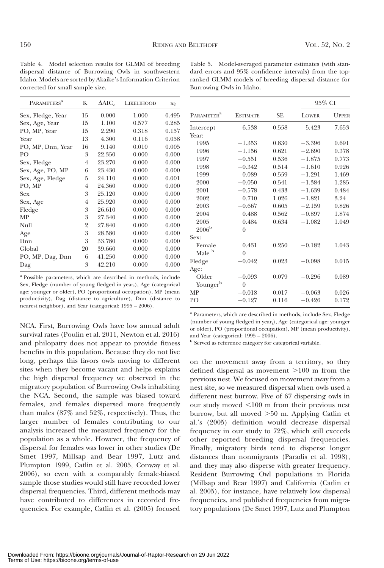Table 4. Model selection results for GLMM of breeding dispersal distance of Burrowing Owls in southwestern Idaho. Models are sorted by Akaike's Information Criterion corrected for small sample size.

| <b>PARAMETERS<sup>a</sup></b> | K              | $\Delta AIC_c$ | LIKELIHOOD | $w_i$ |
|-------------------------------|----------------|----------------|------------|-------|
| Sex, Fledge, Year             | 15             | 0.000          | 1.000      | 0.495 |
| Sex, Age, Year                | 15             | 1.100          | 0.577      | 0.285 |
| PO, MP, Year                  | 15             | 2.290          | 0.318      | 0.157 |
| Year                          | 13             | 4.300          | 0.116      | 0.058 |
| PO, MP, Dnn, Year             | 16             | 9.140          | 0.010      | 0.005 |
| PО                            | 3              | 22.350         | 0.000      | 0.000 |
| Sex, Fledge                   | $\overline{4}$ | 23.270         | 0.000      | 0.000 |
| Sex, Age, PO, MP              | 6              | 23.430         | 0.000      | 0.000 |
| Sex, Age, Fledge              | 5              | 24.110         | 0.000      | 0.001 |
| PO, MP                        | $\overline{4}$ | 24.360         | 0.000      | 0.000 |
| Sex                           | 3              | 25.120         | 0.000      | 0.000 |
| Sex, Age                      | 4              | 25.920         | 0.000      | 0.000 |
| Fledge                        | 3              | 26.610         | 0.000      | 0.000 |
| МP                            | 3              | 27.340         | 0.000      | 0.000 |
| Null                          | 2              | 27.840         | 0.000      | 0.000 |
| Age                           | 3              | 28.580         | 0.000      | 0.000 |
| Dnn                           | 3              | 33.780         | 0.000      | 0.000 |
| Global                        | 20             | 39.660         | 0.000      | 0.000 |
| PO, MP, Dag, Dnn              | 6              | 41.250         | 0.000      | 0.000 |
| Dag                           | 3              | 42.210         | 0.000      | 0.000 |

<sup>a</sup> Possible parameters, which are described in methods, include Sex, Fledge (number of young fledged in  $year<sub>t</sub>$ ), Age (categorical age: younger or older), PO (proportional occupation), MP (mean productivity), Dag (distance to agriculture), Dnn (distance to nearest neighbor), and Year (categorical: 1995 – 2006).

NCA. First, Burrowing Owls have low annual adult survival rates (Poulin et al. 2011, Newton et al. 2016) and philopatry does not appear to provide fitness benefits in this population. Because they do not live long, perhaps this favors owls moving to different sites when they become vacant and helps explains the high dispersal frequency we observed in the migratory population of Burrowing Owls inhabiting the NCA. Second, the sample was biased toward females, and females dispersed more frequently than males (87% and 52%, respectively). Thus, the larger number of females contributing to our analysis increased the measured frequency for the population as a whole. However, the frequency of dispersal for females was lower in other studies (De Smet 1997, Millsap and Bear 1997, Lutz and Plumpton 1999, Catlin et al. 2005, Conway et al. 2006), so even with a comparably female-biased sample those studies would still have recorded lower dispersal frequencies. Third, different methods may have contributed to differences in recorded frequencies. For example, Catlin et al. (2005) focused

Table 5. Model-averaged parameter estimates (with standard errors and 95% confidence intervals) from the topranked GLMM models of breeding dispersal distance for Burrowing Owls in Idaho.

|                        |                 |           | 95% CI   |              |
|------------------------|-----------------|-----------|----------|--------------|
| PARAMETER <sup>a</sup> | <b>ESTIMATE</b> | <b>SE</b> | LOWER    | <b>UPPER</b> |
| Intercept              | 6.538           | 0.558     | 5.423    | 7.653        |
| Year:                  |                 |           |          |              |
| 1995                   | $-1.353$        | 0.830     | $-3.396$ | 0.691        |
| 1996                   | $-1.156$        | 0.621     | $-2.690$ | 0.378        |
| 1997                   | $-0.551$        | 0.536     | $-1.875$ | 0.773        |
| 1998                   | $-0.342$        | 0.514     | $-1.610$ | 0.926        |
| 1999                   | 0.089           | 0.559     | $-1.291$ | 1.469        |
| 2000                   | $-0.050$        | 0.541     | $-1.384$ | 1.285        |
| 2001                   | $-0.578$        | 0.433     | $-1.639$ | 0.484        |
| 2002                   | 0.710           | 1.026     | $-1.821$ | 3.24         |
| 2003                   | $-0.667$        | 0.605     | $-2.159$ | 0.826        |
| 2004                   | 0.488           | 0.562     | $-0.897$ | 1.874        |
| 2005                   | 0.484           | 0.634     | $-1.082$ | 1.049        |
| $2006^{\rm b}$         | $\theta$        |           |          |              |
| Sex:                   |                 |           |          |              |
| Female                 | 0.431           | 0.250     | $-0.182$ | 1.043        |
| Male <sup>b</sup>      | $\Omega$        |           |          |              |
| Fledge                 | $-0.042$        | 0.023     | $-0.098$ | 0.015        |
| Age:                   |                 |           |          |              |
| Older                  | $-0.093$        | 0.079     | $-0.296$ | 0.089        |
| Youngerb               | $\theta$        |           |          |              |
| MP                     | $-0.018$        | 0.017     | $-0.063$ | 0.026        |
| P <sub>O</sub>         | $-0.127$        | 0.116     | $-0.426$ | 0.172        |

<sup>a</sup> Parameters, which are described in methods, include Sex, Fledge (number of young fledged in year<sub>t</sub>), Age (categorical age: younger or older), PO (proportional occupation), MP (mean productivity), and Year (categorical: 1995 – 2006).

<sup>b</sup> Served as reference category for categorical variable.

on the movement away from a territory, so they defined dispersal as movement  $>100$  m from the previous nest. We focused on movement away from a nest site, so we measured dispersal when owls used a different nest burrow. Five of 67 dispersing owls in our study moved  $\leq 100$  m from their previous nest burrow, but all moved  $>50$  m. Applying Catlin et al.'s (2005) definition would decrease dispersal frequency in our study to 72%, which still exceeds other reported breeding dispersal frequencies. Finally, migratory birds tend to disperse longer distances than nonmigrants (Paradis et al. 1998), and they may also disperse with greater frequency. Resident Burrowing Owl populations in Florida (Millsap and Bear 1997) and California (Catlin et al. 2005), for instance, have relatively low dispersal frequencies, and published frequencies from migratory populations (De Smet 1997, Lutz and Plumpton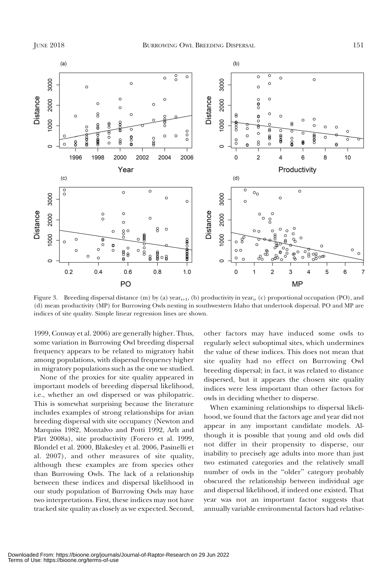

Figure 3. Breeding dispersal distance (m) by (a) year<sub>t+1</sub>, (b) productivity in year<sub>t</sub>, (c) proportional occupation (PO), and (d) mean productivity (MP) for Burrowing Owls nesting in southwestern Idaho that undertook dispersal. PO and MP are indices of site quality. Simple linear regression lines are shown.

1999, Conway et al. 2006) are generally higher. Thus, some variation in Burrowing Owl breeding dispersal frequency appears to be related to migratory habit among populations, with dispersal frequency higher in migratory populations such as the one we studied.

None of the proxies for site quality appeared in important models of breeding dispersal likelihood, i.e., whether an owl dispersed or was philopatric. This is somewhat surprising because the literature includes examples of strong relationships for avian breeding dispersal with site occupancy (Newton and Marquiss 1982, Montalvo and Potti 1992, Arlt and Pärt 2008a), site productivity (Forero et al. 1999, Blondel et al. 2000, Blakesley et al. 2006, Pasinelli et al. 2007), and other measures of site quality, although these examples are from species other than Burrowing Owls. The lack of a relationship between these indices and dispersal likelihood in our study population of Burrowing Owls may have two interpretations. First, these indices may not have tracked site quality as closely as we expected. Second, other factors may have induced some owls to regularly select suboptimal sites, which undermines the value of these indices. This does not mean that site quality had no effect on Burrowing Owl breeding dispersal; in fact, it was related to distance dispersed, but it appears the chosen site quality indices were less important than other factors for owls in deciding whether to disperse.

When examining relationships to dispersal likelihood, we found that the factors age and year did not appear in any important candidate models. Although it is possible that young and old owls did not differ in their propensity to disperse, our inability to precisely age adults into more than just two estimated categories and the relatively small number of owls in the ''older'' category probably obscured the relationship between individual age and dispersal likelihood, if indeed one existed. That year was not an important factor suggests that annually variable environmental factors had relative-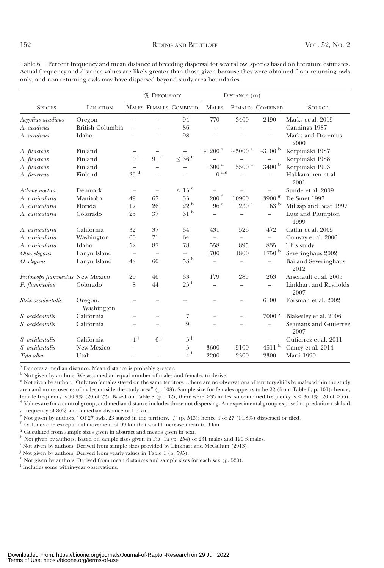|                                  |                         | % FREQUENCY              |                          | DISTANCE (m)             |                          |                          |                          |                               |
|----------------------------------|-------------------------|--------------------------|--------------------------|--------------------------|--------------------------|--------------------------|--------------------------|-------------------------------|
| <b>SPECIES</b>                   | <b>LOCATION</b>         |                          |                          | MALES FEMALES COMBINED   | <b>MALES</b>             |                          | FEMALES COMBINED         | <b>SOURCE</b>                 |
| Aegolius acadicus                | Oregon                  | $\overline{\phantom{0}}$ |                          | 94                       | 770                      | 3400                     | 2490                     | Marks et al. 2015             |
| A. acadicus                      | <b>British Columbia</b> |                          |                          | 86                       | -                        |                          | $\overline{\phantom{0}}$ | Cannings 1987                 |
| A. acadicus                      | Idaho                   |                          |                          | 98                       |                          |                          |                          | Marks and Doremus<br>2000     |
| A. funereus                      | Finland                 |                          | $\overline{\phantom{0}}$ | $\qquad \qquad -$        | ${\sim}1200$ $^{\rm a}$  | ${\sim}5000$ $^{\rm a}$  | ${\sim}3100$ $^{\rm b}$  | Korpimäki 1987                |
| A. funereus                      | Finland                 | $0\ ^{\rm c}$            | 91 <sup>c</sup>          | $\leq$ 36 $^{\rm c}$     |                          |                          |                          | Korpimäki 1988                |
| A. funereus                      | Finland                 |                          | -                        | $\overline{\phantom{0}}$ | $1300$ $^{\rm a}$        | $5500$ $^{\rm a}$        | $3400$ $^{\rm b}$        | Korpimäki 1993                |
| A. funereus                      | Finland                 | 25 <sup>d</sup>          | $\overline{\phantom{0}}$ |                          | $0$ $^{\rm a,d}$         |                          | $\overline{\phantom{0}}$ | Hakkarainen et al.<br>2001    |
| Athene noctua                    | Denmark                 | $\overline{\phantom{m}}$ | $\overline{\phantom{0}}$ | $\leq$ 15 $^{\rm e}$     | $\qquad \qquad$          |                          |                          | Sunde et al. 2009             |
| A. cunicularia                   | Manitoba                | 49                       | 67                       | 55                       | $200~^{\rm f}$           | 10900                    | 3900 <sup>g</sup>        | De Smet 1997                  |
| A. cunicularia                   | Florida                 | 17                       | 26                       | 22 <sup>b</sup>          | $96^{\mathrm{a}}$        | $230$ $^{\rm a}$         | 163 <sup>b</sup>         | Millsap and Bear 1997         |
| A. cunicularia                   | Colorado                | 25                       | 37                       | 31 <sup>b</sup>          |                          | -                        | $\overline{\phantom{0}}$ | Lutz and Plumpton<br>1999     |
| A. cunicularia                   | California              | 32                       | 37                       | 34                       | 431                      | 526                      | 472                      | Catlin et al. 2005            |
| A. cunicularia                   | Washington              | 60                       | 71                       | 64                       |                          |                          | $\overline{\phantom{0}}$ | Conway et al. 2006            |
| A. cunicularia                   | Idaho                   | 52                       | 87                       | 78                       | 558                      | 895                      | 835                      | This study                    |
| Otus elegans                     | Lanyu Island            | $\overline{\phantom{0}}$ | $\overline{\phantom{0}}$ | $\overline{\phantom{0}}$ | 1700                     | 1800                     | 1750 <sup>b</sup>        | Severinghaus 2002             |
| O. elegans                       | Lanyu Island            | 48                       | 60                       | $53~^{\rm h}$            | $\overline{\phantom{0}}$ | -                        | $\overline{\phantom{0}}$ | Bai and Severinghaus<br>2012  |
| Psiloscops flammeolus New Mexico |                         | 20                       | 46                       | 33                       | 179                      | 289                      | 263                      | Arsenault et al. 2005         |
| P. flammeolus                    | Colorado                | 8                        | 44                       | $25$ <sup>i</sup>        |                          |                          | $\overline{\phantom{0}}$ | Linkhart and Reynolds<br>2007 |
| Strix occidentalis               | Oregon,<br>Washington   |                          |                          | -                        |                          | -                        | 6100                     | Forsman et al. 2002           |
| S. occidentalis                  | California              | -                        |                          | 7                        |                          |                          | 7000 <sup>a</sup>        | Blakesley et al. 2006         |
| S. occidentalis                  | California              | -                        |                          | 9                        |                          | $\overline{\phantom{0}}$ |                          | Seamans and Gutierrez<br>2007 |
| S. occidentalis                  | California              | $4^j$                    | 6 <sup>j</sup>           | $5^{\mathrm{j}}$         |                          |                          |                          | Gutierrez et al. 2011         |
| S. occidentalis                  | New Mexico              | -                        | $\overline{\phantom{0}}$ | 5                        | 3600                     | 5100                     | 4511 <sup>k</sup>        | Ganey et al. 2014             |
| Tyto alba                        | Utah                    | $\equiv$                 |                          | $4^{\frac{1}{2}}$        | 2200                     | 2300                     | 2300                     | Marti 1999                    |

Table 6. Percent frequency and mean distance of breeding dispersal for several owl species based on literature estimates. Actual frequency and distance values are likely greater than those given because they were obtained from returning owls only, and non-returning owls may have dispersed beyond study area boundaries.

<sup>a</sup> Denotes a median distance. Mean distance is probably greater.

<sup>b</sup> Not given by authors. We assumed an equal number of males and females to derive.

<sup>c</sup> Not given by author. ''Only two females stayed on the same territory. . .there are no observations of territory shifts by males within the study area and no recoveries of males outside the study area'' (p. 103). Sample size for females appears to be 22 (from Table 5, p. 101); hence, female frequency is  $90.9\%$  (20 of 22). Based on Table 8 (p. 102), there were  $\geq 33$  males, so combined frequency is  $\leq 36.4\%$  (20 of  $\geq 55$ ). <sup>d</sup> Values are for a control group, and median distance includes those not dispersing. An experimental group exposed to predation risk had a frequency of 80% and a median distance of 1.5 km.

 $e$  Not given by authors. "Of 27 owls, 23 stayed in the territory..." (p. 543); hence 4 of 27 (14.8%) dispersed or died.

<sup>f</sup> Excludes one exceptional movement of 99 km that would increase mean to 3 km.

<sup>g</sup> Calculated from sample sizes given in abstract and means given in text.

h Not given by authors. Based on sample sizes given in Fig. 1a (p. 254) of 231 males and 190 females.

<sup>i</sup> Not given by authors. Derived from sample sizes provided by Linkhart and McCallum (2013).

<sup>j</sup> Not given by authors. Derived from yearly values in Table 1 (p. 595).

<sup>k</sup> Not given by authors. Derived from mean distances and sample sizes for each sex (p. 520).

<sup>1</sup> Includes some within-year observations.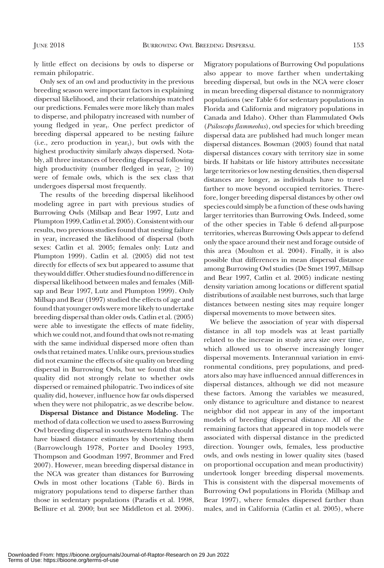ly little effect on decisions by owls to disperse or remain philopatric.

Only sex of an owl and productivity in the previous breeding season were important factors in explaining dispersal likelihood, and their relationships matched our predictions. Females were more likely than males to disperse, and philopatry increased with number of young fledged in year<sub>t</sub>. One perfect predictor of breeding dispersal appeared to be nesting failure  $(i.e., zero production in year<sub>t</sub>), but owls with the$ highest productivity similarly always dispersed. Notably, all three instances of breeding dispersal following high productivity (number fledged in year $_{\rm t} \geq 10$ ) were of female owls, which is the sex class that undergoes dispersal most frequently.

The results of the breeding dispersal likelihood modeling agree in part with previous studies of Burrowing Owls (Millsap and Bear 1997, Lutz and Plumpton 1999, Catlin et al. 2005). Consistent with our results, two previous studies found that nesting failure in year $_{t}$  increased the likelihood of dispersal (both sexes: Catlin et al. 2005; females only: Lutz and Plumpton 1999). Catlin et al. (2005) did not test directly for effects of sex but appeared to assume that they would differ. Other studies found no difference in dispersal likelihood between males and females (Millsap and Bear 1997, Lutz and Plumpton 1999). Only Millsap and Bear (1997) studied the effects of age and found that younger owls were more likely to undertake breeding dispersal than older owls. Catlin et al. (2005) were able to investigate the effects of mate fidelity, which we could not, and found that owls not re-mating with the same individual dispersed more often than owls that retained mates. Unlike ours, previous studies did not examine the effects of site quality on breeding dispersal in Burrowing Owls, but we found that site quality did not strongly relate to whether owls dispersed or remained philopatric. Two indices of site quality did, however, influence how far owls dispersed when they were not philopatric, as we describe below.

Dispersal Distance and Distance Modeling. The method of data collection we used to assess Burrowing Owl breeding dispersal in southwestern Idaho should have biased distance estimates by shortening them (Barrowclough 1978, Porter and Dooley 1993, Thompson and Goodman 1997, Brommer and Fred 2007). However, mean breeding dispersal distance in the NCA was greater than distances for Burrowing Owls in most other locations (Table 6). Birds in migratory populations tend to disperse farther than those in sedentary populations (Paradis et al. 1998, Belliure et al. 2000; but see Middleton et al. 2006).

Migratory populations of Burrowing Owl populations also appear to move farther when undertaking breeding dispersal, but owls in the NCA were closer in mean breeding dispersal distance to nonmigratory populations (see Table 6 for sedentary populations in Florida and California and migratory populations in Canada and Idaho). Other than Flammulated Owls (Psiloscops flammeolus), owl species for which breeding dispersal data are published had much longer mean dispersal distances. Bowman (2003) found that natal dispersal distances covary with territory size in some birds. If habitats or life history attributes necessitate large territories or low nesting densities, then dispersal distances are longer, as individuals have to travel farther to move beyond occupied territories. Therefore, longer breeding dispersal distances by other owl species could simply be a function of these owls having larger territories than Burrowing Owls. Indeed, some of the other species in Table 6 defend all-purpose territories, whereas Burrowing Owls appear to defend only the space around their nest and forage outside of this area (Moulton et al. 2004). Finally, it is also possible that differences in mean dispersal distance among Burrowing Owl studies (De Smet 1997, Millsap and Bear 1997, Catlin et al. 2005) indicate nesting density variation among locations or different spatial distributions of available nest burrows, such that large distances between nesting sites may require longer dispersal movements to move between sites.

We believe the association of year with dispersal distance in all top models was at least partially related to the increase in study area size over time, which allowed us to observe increasingly longer dispersal movements. Interannual variation in environmental conditions, prey populations, and predators also may have influenced annual differences in dispersal distances, although we did not measure these factors. Among the variables we measured, only distance to agriculture and distance to nearest neighbor did not appear in any of the important models of breeding dispersal distance. All of the remaining factors that appeared in top models were associated with dispersal distance in the predicted direction. Younger owls, females, less productive owls, and owls nesting in lower quality sites (based on proportional occupation and mean productivity) undertook longer breeding dispersal movements. This is consistent with the dispersal movements of Burrowing Owl populations in Florida (Millsap and Bear 1997), where females dispersed farther than males, and in California (Catlin et al. 2005), where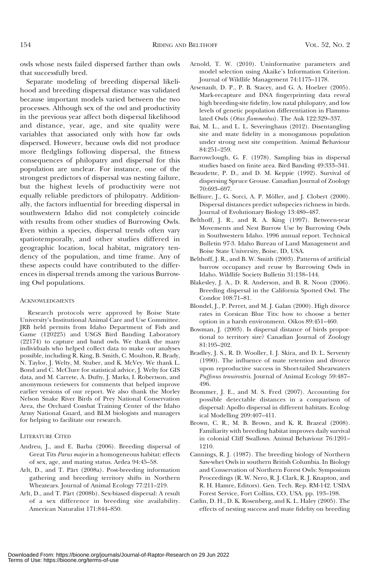owls whose nests failed dispersed farther than owls that successfully bred.

Separate modeling of breeding dispersal likelihood and breeding dispersal distance was validated because important models varied between the two processes. Although sex of the owl and productivity in the previous year affect both dispersal likelihood and distance, year, age, and site quality were variables that associated only with how far owls dispersed. However, because owls did not produce more fledglings following dispersal, the fitness consequences of philopatry and dispersal for this population are unclear. For instance, one of the strongest predictors of dispersal was nesting failure, but the highest levels of productivity were not equally reliable predictors of philopatry. Additionally, the factors influential for breeding dispersal in southwestern Idaho did not completely coincide with results from other studies of Burrowing Owls. Even within a species, dispersal trends often vary spatiotemporally, and other studies differed in geographic location, local habitat, migratory tendency of the population, and time frame. Any of these aspects could have contributed to the differences in dispersal trends among the various Burrowing Owl populations.

#### **ACKNOWLEDGMENTS**

Research protocols were approved by Boise State University's Institutional Animal Care and Use Committee. JRB held permits from Idaho Department of Fish and Game (120225) and USGS Bird Banding Laboratory (22174) to capture and band owls. We thank the many individuals who helped collect data to make our analyses possible, including R. King, B. Smith, C. Moulton, R. Brady, N. Taylor, J. Welty, M. Stuber, and K. McVey. We thank L. Bond and C. McClure for statistical advice, J. Welty for GIS data, and M. Carrete, A. Dufty, J. Marks, I. Robertson, and anonymous reviewers for comments that helped improve earlier versions of our report. We also thank the Morley Nelson Snake River Birds of Prey National Conservation Area, the Orchard Combat Training Center of the Idaho Army National Guard, and BLM biologists and managers for helping to facilitate our research.

#### LITERATURE CITED

- Andreu, J., and E. Barba (2006). Breeding dispersal of Great Tits Parus major in a homogeneous habitat: effects of sex, age, and mating status. Ardea 94:45–58.
- Arlt, D., and T. Pärt (2008a). Post-breeding information gathering and breeding territory shifts in Northern Wheatears. Journal of Animal Ecology 77:211–219.
- Arlt, D., and T. Pärt (2008b). Sex-biased dispersal: A result of a sex difference in breeding site availability. American Naturalist 171:844–850.
- Arnold, T. W. (2010). Uninformative parameters and model selection using Akaike's Information Criterion. Journal of Wildlife Management 74:1175–1178.
- Arsenault, D. P., P. B. Stacey, and G. A. Hoelzer (2005). Mark-recapture and DNA fingerprinting data reveal high breeding-site fidelity, low natal philopatry, and low levels of genetic population differentiation in Flammulated Owls (Otus flammeolus). The Auk 122:329–337.
- Bai, M. L., and L. L. Severinghaus (2012). Disentangling site and mate fidelity in a monogamous population under strong nest site competition. Animal Behaviour 84:251–259.
- Barrowclough, G. F. (1978). Sampling bias in dispersal studies based on finite area. Bird Banding 49:333–341.
- Beaudette, P. D., and D. M. Keppie (1992). Survival of dispersing Spruce Grouse. Canadian Journal of Zoology 70:693–697.
- Belliure, J., G. Sorci, A. P. Möller, and J. Clobert (2000). Dispersal distances predict subspecies richness in birds. Journal of Evolutionary Biology 13:480–487.
- Belthoff, J. R., and R. A. King (1997). Between-year Movements and Nest Burrow Use by Burrowing Owls in Southwestern Idaho. 1996 annual report. Technical Bulletin 97-3. Idaho Bureau of Land Management and Boise State University, Boise, ID, USA.
- Belthoff, J. R., and B. W. Smith (2003). Patterns of artificial burrow occupancy and reuse by Burrowing Owls in Idaho. Wildlife Society Bulletin 31:138–144.
- Blakesley, J. A., D. R. Anderson, and B. R. Noon (2006). Breeding dispersal in the California Spotted Owl. The Condor 108:71–81.
- Blondel, J., P. Perret, and M. J. Galan (2000). High divorce rates in Corsican Blue Tits: how to choose a better option in a harsh environment. Oikos 89:451–460.
- Bowman, J. (2003). Is dispersal distance of birds proportional to territory size? Canadian Journal of Zoology 81:195–202.
- Bradley, J. S., R. D. Wooller, I. J. Skira, and D. L. Serventy (1990). The influence of mate retention and divorce upon reproductive success in Short-tailed Shearwaters Puffinus tenuirostris. Journal of Animal Ecology 59:487– 496.
- Brommer, J. E., and M. S. Fred (2007). Accounting for possible detectable distances in a comparison of dispersal: Apollo dispersal in different habitats. Ecological Modelling 209:407–411.
- Brown, C. R., M. B. Brown, and K. R. Brazeal (2008). Familiarity with breeding habitat improves daily survival in colonial Cliff Swallows. Animal Behaviour 76:1201– 1210.
- Cannings, R. J. (1987). The breeding biology of Northern Saw-whet Owls in southern British Columbia. In Biology and Conservation of Northern Forest Owls: Symposium Proceedings (R. W. Nero, R. J. Clark, R. J. Knapton, and R. H. Hamre, Editors). Gen. Tech. Rep. RM-142. USDA Forest Service, Fort Collins, CO, USA. pp. 193–198.
- Catlin, D. H., D. K. Rosenberg, and K. L. Haley (2005). The effects of nesting success and mate fidelity on breeding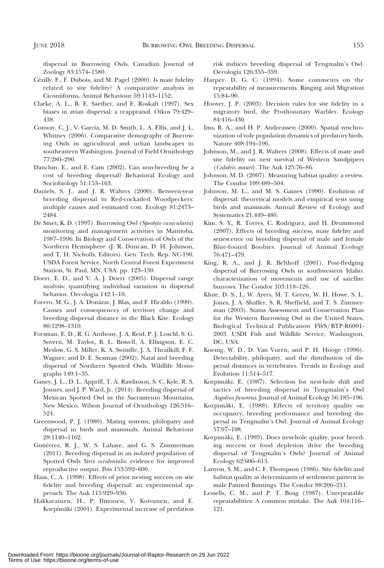dispersal in Burrowing Owls. Canadian Journal of Zoology 83:1574–1580.

- Cézilly, F., F. Dubois, and M. Pagel (2000). Is mate fidelity related to site fidelity? A comparative analysis in Ciconiiforms. Animal Behaviour 59:1143–1152.
- Clarke, A. L., B. E. Saether, and E. Roskaft (1997). Sex biases in avian dispersal: a reappraisal. Oikos 79:429– 438.
- Conway, C. J., V. Garcia, M. D. Smith, L. A. Ellis, and J. L. Whitney (2006). Comparative demography of Burrowing Owls in agricultural and urban landscapes in southeastern Washington. Journal of Field Ornithology 77:280–290.
- Danchin, E., and E. Cam (2002). Can non-breeding be a cost of breeding dispersal? Behavioral Ecology and Sociobiology 51:153–163.
- Daniels, S. J., and J. R. Walters (2000). Between-year breeding dispersal in Red-cockaded Woodpeckers: multiple causes and estimated cost. Ecology 81:2473– 2484.
- De Smet, K. D. (1997). Burrowing Owl (Speotyto cunicularia) monitoring and management activities in Manitoba, 1987–1996. In Biology and Conservation of Owls of the Northern Hemisphere (J. R. Duncan, D. H. Johnson, and T. H. Nicholls, Editors). Gen. Tech. Rep. NC-190. USDA Forest Service, North Central Forest Experiment Station, St. Paul, MN, USA. pp. 123–130.
- Doerr, E. D., and V. A. J. Doerr (2005). Dispersal range analysis: quantifying individual variation in dispersal behavior. Oecologia 142:1–10.
- Forero, M. G., J. A. Donázar, J. Blas, and F. Hiraldo (1999). Causes and consequences of territory change and breeding dispersal distance in the Black Kite. Ecology 80:1298–1310.
- Forsman, E. D., R. G. Anthony, J. A. Reid, P. J. Loschl, S. G. Sovern, M. Taylor, B. L. Biswell, A. Ellingson, E. C. Meslow, G. S. Miller, K. A. Swindle, J. A. Thrailkill, F. F. Wagner, and D. E. Seaman (2002). Natal and breeding dispersal of Northern Spotted Owls. Wildlife Monographs 149:1–35.
- Ganey, J. L., D. L. Apprill, T. A. Rawlinson, S. C. Kyle, R. S. Jonnes, and J. P. Ward, Jr. (2014). Breeding dispersal of Mexican Spotted Owl in the Sacramento Mountains, New Mexico. Wilson Journal of Ornithology 126:516– 524.
- Greenwood, P. J. (1980). Mating systems, philopatry and dispersal in birds and mammals. Animal Behaviour 28:1140–1162.
- Gutiérrez, R. J., W. S. Lahaye, and G. S. Zimmerman (2011). Breeding dispersal in an isolated population of Spotted Owls Strix occidentalis: evidence for improved reproductive output. Ibis 153:592–600.
- Haas, C. A. (1998). Effects of prior nesting success on site fidelity and breeding dispersal: an experimental approach. The Auk 115:929–936.
- Hakkarainen, H., P. Ilmonen, V. Koivunen, and E. Korpimäki (2001). Experimental increase of predation

risk induces breeding dispersal of Tengmalm's Owl. Oecologia 126:355–359.

- Harper, D. G. C. (1994). Some comments on the repeatability of measurements. Ringing and Migration 15:84–90.
- Hoover, J. P. (2003). Decision rules for site fidelity in a migratory bird, the Prothonotary Warbler. Ecology 84:416–430.
- Ims, R. A., and H. P. Andreassen (2000). Spatial synchronization of vole population dynamics of predatory birds. Nature 408:194–196.
- Johnson, M., and J. R. Walters (2008). Effects of mate and site fidelity on nest survival of Western Sandpipers (Calidris mauri). The Auk 125:76–86.
- Johnson, M. D. (2007). Measuring habitat quality: a review. The Condor 109:489–504.
- Johnson, M. L., and M. S. Gaines (1990). Evolution of dispersal: theoretical models and empirical tests using birds and mammals. Annual Review of Ecology and Systematics 21:449–480.
- Kim, S. Y., R. Torres, C. Rodriguez, and H. Drummond (2007). Effects of breeding success, mate fidelity and senescence on breeding dispersal of male and female Blue-footed Boobies. Journal of Animal Ecology 76:471–479.
- King, R. A., and J. R. Belthoff (2001). Post-fledging dispersal of Burrowing Owls in southwestern Idaho: characterization of movements and use of satellite burrows. The Condor 103:118–126.
- Klute, D. S., L. W. Ayers, M. T. Green, W. H. Howe, S. L. Jones, J. A. Shaffer, S. R. Sheffield, and T. S. Zimmerman (2003). Status Assessment and Conservation Plan for the Western Burrowing Owl in the United States. Biological Technical Publication FWS/BTP-R6001- 2003. USDI Fish and Wildlife Service, Washington, DC, USA.
- Koenig, W. D., D. Van Vuren, and P. H. Hooge (1996). Detectability, philopatry, and the distribution of dispersal distances in vertebrates. Trends in Ecology and Evolution 11:514–517.
- Korpimäki, E. (1987). Selection for nest-hole shift and tactics of breeding dispersal in Tengmalm's Owl Aegolius funereus. Journal of Animal Ecology 56:185–196.
- Korpimäki, E. (1988). Effects of territory quality on occupancy, breeding performance and breeding dispersal in Tengmalm's Owl. Journal of Animal Ecology 57:97–108.
- Korpimäki, E. (1993). Does nest-hole quality, poor breeding success or food depletion drive the breeding dispersal of Tengmalm's Owls? Journal of Animal Ecology 62:606–613.
- Lanyon, S. M., and C. F. Thompson (1986). Site fidelity and habitat quality as determinants of settlement pattern in male Painted Buntings. The Condor 88:206–211.
- Lessells, C. M., and P. T. Boag (1987). Unrepeatable repeatabilities: A common mistake. The Auk 104:116– 121.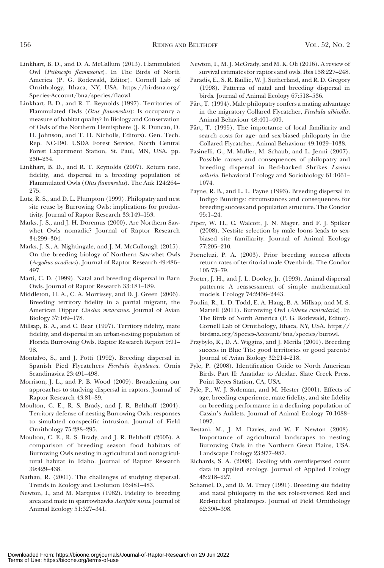- Linkhart, B. D., and D. A. McCallum (2013). Flammulated Owl (Psiloscops flammeolus). In The Birds of North America (P. G. Rodewald, Editor). Cornell Lab of Ornithology, Ithaca, NY, USA. https://birdsna.org/ Species-Account/bna/species/flaowl.
- Linkhart, B. D., and R. T. Reynolds (1997). Territories of Flammulated Owls (Otus flammeolus): Is occupancy a measure of habitat quality? In Biology and Conservation of Owls of the Northern Hemisphere (J. R. Duncan, D. H. Johnson, and T. H. Nicholls, Editors). Gen. Tech. Rep. NC-190. USDA Forest Service, North Central Forest Experiment Station, St. Paul, MN, USA. pp. 250–254.
- Linkhart, B. D., and R. T. Reynolds (2007). Return rate, fidelity, and dispersal in a breeding population of Flammulated Owls (Otus flammeolus). The Auk 124:264– 275.
- Lutz, R. S., and D. L. Plumpton (1999). Philopatry and nest site reuse by Burrowing Owls: implications for productivity. Journal of Raptor Research 33:149–153.
- Marks, J. S., and J. H. Doremus (2000). Are Northern Sawwhet Owls nomadic? Journal of Raptor Research 34:299–304.
- Marks, J. S., A. Nightingale, and J. M. McCullough (2015). On the breeding biology of Northern Saw-whet Owls (Aegolius acadicus). Journal of Raptor Research 49:486– 497.
- Marti, C. D. (1999). Natal and breeding dispersal in Barn Owls. Journal of Raptor Research 33:181–189.
- Middleton, H. A., C. A. Morrissey, and D. J. Green (2006). Breeding territory fidelity in a partial migrant, the American Dipper Cinclus mexicanus. Journal of Avian Biology 37:169–178.
- Millsap, B. A., and C. Bear (1997). Territory fidelity, mate fidelity, and dispersal in an urban-nesting population of Florida Burrowing Owls. Raptor Research Report 9:91– 98.
- Montalvo, S., and J. Potti (1992). Breeding dispersal in Spanish Pied Flycatchers Ficedula hypoleuca. Ornis Scandinavica 23:491–498.
- Morrison, J. L., and P. B. Wood (2009). Broadening our approaches to studying dispersal in raptors. Journal of Raptor Research 43:81–89.
- Moulton, C. E., R. S. Brady, and J. R. Belthoff (2004). Territory defense of nesting Burrowing Owls: responses to simulated conspecific intrusion. Journal of Field Ornithology 75:288–295.
- Moulton, C. E., R. S. Brady, and J. R. Belthoff (2005). A comparison of breeding season food habitats of Burrowing Owls nesting in agricultural and nonagricultural habitat in Idaho. Journal of Raptor Research 39:429–438.
- Nathan, R. (2001). The challenges of studying dispersal. Trends in Ecology and Evolution 16:481–483.
- Newton, I., and M. Marquiss (1982). Fidelity to breeding area and mate in sparrowhawks Accipiter nisus. Journal of Animal Ecology 51:327–341.

Newton, I., M. J. McGrady, and M. K. Oli (2016). A review of survival estimates for raptors and owls. Ibis 158:227–248.

- Paradis, E., S. R. Baillie, W. J. Sutherland, and R. D. Gregory (1998). Patterns of natal and breeding dispersal in birds. Journal of Animal Ecology 67:518–536.
- Pärt, T. (1994). Male philopatry confers a mating advantage in the migratory Collared Flycatcher, Ficedula albicollis. Animal Behaviour 48:401–409.
- Pärt, T. (1995). The importance of local familiarity and search costs for age- and sex-biased philoparty in the Collared Flycatcher. Animal Behaviour 49:1029–1038.
- Pasinelli, G., M. Muller, M. Schaub, and L. Jenni (2007). Possible causes and consequences of philopatry and breeding dispersal in Red-backed Shrikes Lanius collurio. Behavioral Ecology and Sociobiology 61:1061– 1074.
- Payne, R. B., and L. L. Payne (1993). Breeding dispersal in Indigo Buntings: circumstances and consequences for breeding success and population structure. The Condor 95:1–24.
- Piper, W. H., C. Walcott, J. N. Mager, and F. J. Spilker (2008). Nestsite selection by male loons leads to sexbiased site familiarity. Journal of Animal Ecology 77:205–210.
- Porneluzi, P. A. (2003). Prior breeding success affects return rates of territorial male Ovenbirds. The Condor 105:73–79.
- Porter, J. H., and J. L. Dooley, Jr. (1993). Animal dispersal patterns: A reassessment of simple mathematical models. Ecology 74:2436–2443.
- Poulin, R., L. D. Todd, E. A. Haug, B. A. Millsap, and M. S. Martell (2011). Burrowing Owl (Athene cunicularia). In The Birds of North America (P. G. Rodewald, Editor). Cornell Lab of Ornithology, Ithaca, NY, USA. https:// birdsna.org/Species-Account/bna/species/burowl.
- Przybylo, R., D. A. Wiggins, and J. Merila (2001). Breeding success in Blue Tits: good territories or good parents? Journal of Avian Biology 32:214–218.
- Pyle, P. (2008). Identification Guide to North American Birds. Part II: Anatidae to Alcidae. Slate Creek Press, Point Reyes Station, CA, USA.
- Pyle, P., W. J. Sydeman, and M. Hester (2001). Effects of age, breeding experience, mate fidelity, and site fidelity on breeding performance in a declining population of Cassin's Auklets. Journal of Animal Ecology 70:1088– 1097.
- Restani, M., J. M. Davies, and W. E. Newton (2008). Importance of agricultural landscapes to nesting Burrowing Owls in the Northern Great Plains, USA. Landscape Ecology 23:977–987.
- Richards, S. A. (2008). Dealing with overdispersed count data in applied ecology. Journal of Applied Ecology 45:218–227.
- Schamel, D., and D. M. Tracy (1991). Breeding site fidelity and natal philopatry in the sex role-reversed Red and Red-necked phalaropes. Journal of Field Ornithology 62:390–398.